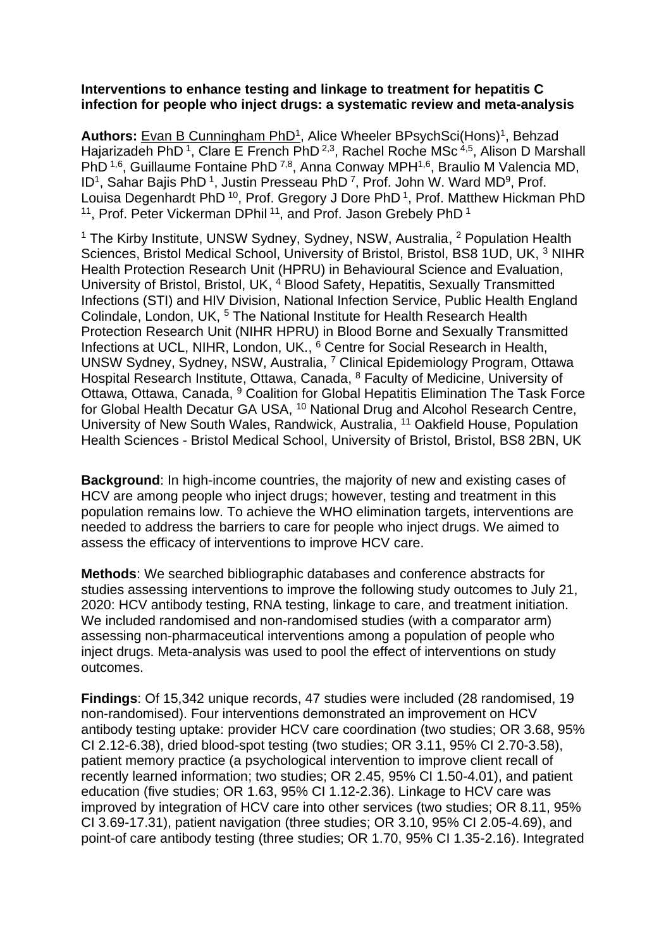## **Interventions to enhance testing and linkage to treatment for hepatitis C infection for people who inject drugs: a systematic review and meta-analysis**

Authors: Evan B Cunningham PhD<sup>1</sup>, Alice Wheeler BPsychSci(Hons)<sup>1</sup>, Behzad Hajarizadeh PhD<sup>1</sup>, Clare E French PhD<sup>2,3</sup>, Rachel Roche MSc<sup>4,5</sup>, Alison D Marshall PhD <sup>1,6</sup>, Guillaume Fontaine PhD <sup>7,8</sup>, Anna Conway MPH<sup>1,6</sup>, Braulio M Valencia MD, ID<sup>1</sup>, Sahar Bajis PhD<sup>1</sup>, Justin Presseau PhD<sup>7</sup>, Prof. John W. Ward MD<sup>9</sup>, Prof. Louisa Degenhardt PhD<sup>10</sup>, Prof. Gregory J Dore PhD<sup>1</sup>, Prof. Matthew Hickman PhD <sup>11</sup>, Prof. Peter Vickerman DPhil<sup>11</sup>, and Prof. Jason Grebely PhD<sup>1</sup>

<sup>1</sup> The Kirby Institute, UNSW Sydney, Sydney, NSW, Australia, <sup>2</sup> Population Health Sciences, Bristol Medical School, University of Bristol, Bristol, BS8 1UD, UK, <sup>3</sup> NIHR Health Protection Research Unit (HPRU) in Behavioural Science and Evaluation, University of Bristol, Bristol, UK, <sup>4</sup> Blood Safety, Hepatitis, Sexually Transmitted Infections (STI) and HIV Division, National Infection Service, Public Health England Colindale, London, UK, <sup>5</sup> The National Institute for Health Research Health Protection Research Unit (NIHR HPRU) in Blood Borne and Sexually Transmitted Infections at UCL, NIHR, London, UK., <sup>6</sup> Centre for Social Research in Health, UNSW Sydney, Sydney, NSW, Australia, <sup>7</sup> Clinical Epidemiology Program, Ottawa Hospital Research Institute, Ottawa, Canada, <sup>8</sup> Faculty of Medicine, University of Ottawa, Ottawa, Canada, <sup>9</sup> Coalition for Global Hepatitis Elimination The Task Force for Global Health Decatur GA USA, <sup>10</sup> National Drug and Alcohol Research Centre, University of New South Wales, Randwick, Australia, <sup>11</sup> Oakfield House, Population Health Sciences - Bristol Medical School, University of Bristol, Bristol, BS8 2BN, UK

**Background**: In high-income countries, the majority of new and existing cases of HCV are among people who inject drugs; however, testing and treatment in this population remains low. To achieve the WHO elimination targets, interventions are needed to address the barriers to care for people who inject drugs. We aimed to assess the efficacy of interventions to improve HCV care.

**Methods**: We searched bibliographic databases and conference abstracts for studies assessing interventions to improve the following study outcomes to July 21, 2020: HCV antibody testing, RNA testing, linkage to care, and treatment initiation. We included randomised and non-randomised studies (with a comparator arm) assessing non-pharmaceutical interventions among a population of people who inject drugs. Meta-analysis was used to pool the effect of interventions on study outcomes.

**Findings**: Of 15,342 unique records, 47 studies were included (28 randomised, 19 non-randomised). Four interventions demonstrated an improvement on HCV antibody testing uptake: provider HCV care coordination (two studies; OR 3.68, 95% CI 2.12-6.38), dried blood-spot testing (two studies; OR 3.11, 95% CI 2.70-3.58), patient memory practice (a psychological intervention to improve client recall of recently learned information; two studies; OR 2.45, 95% CI 1.50-4.01), and patient education (five studies; OR 1.63, 95% CI 1.12-2.36). Linkage to HCV care was improved by integration of HCV care into other services (two studies; OR 8.11, 95% CI 3.69-17.31), patient navigation (three studies; OR 3.10, 95% CI 2.05-4.69), and point-of care antibody testing (three studies; OR 1.70, 95% CI 1.35-2.16). Integrated